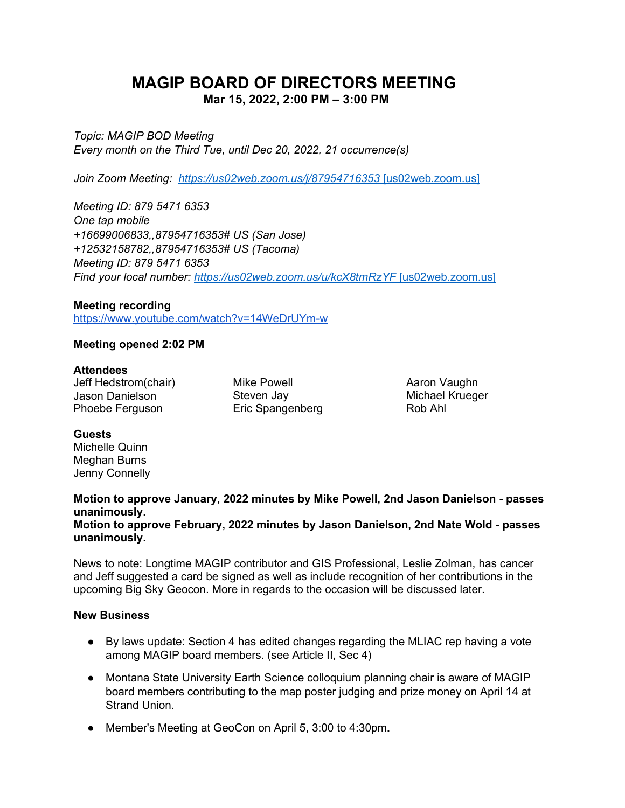# **MAGIP BOARD OF DIRECTORS MEETING Mar 15, 2022, 2:00 PM – 3:00 PM**

*Topic: MAGIP BOD Meeting Every month on the Third Tue, until Dec 20, 2022, 21 occurrence(s)*

*Join Zoom Meeting: [https://us02web.zoom.us/j/87954716353](https://urldefense.com/v3/__https:/us02web.zoom.us/j/87954716353__;!!GaaboA!-ZorRnAwQpRCyzSjWWQGAVuNUqCYuOYv1IysjayHa0myV1qZ0IC28bPaztldfZCu$)* [\[us02web.zoom.us\]](https://urldefense.com/v3/__https:/us02web.zoom.us/j/87954716353__;!!GaaboA!-ZorRnAwQpRCyzSjWWQGAVuNUqCYuOYv1IysjayHa0myV1qZ0IC28bPaztldfZCu$)

*Meeting ID: 879 5471 6353 One tap mobile +16699006833,,87954716353# US (San Jose) +12532158782,,87954716353# US (Tacoma) Meeting ID: 879 5471 6353 Find your local number: [https://us02web.zoom.us/u/kcX8tmRzYF](https://urldefense.com/v3/__https:/us02web.zoom.us/u/kcX8tmRzYF__;!!GaaboA!-ZorRnAwQpRCyzSjWWQGAVuNUqCYuOYv1IysjayHa0myV1qZ0IC28bPazsO6suQO$)* [\[us02web.zoom.us\]](https://urldefense.com/v3/__https:/us02web.zoom.us/u/kcX8tmRzYF__;!!GaaboA!-ZorRnAwQpRCyzSjWWQGAVuNUqCYuOYv1IysjayHa0myV1qZ0IC28bPazsO6suQO$)

#### **Meeting recording**

<https://www.youtube.com/watch?v=14WeDrUYm-w>

#### **Meeting opened 2:02 PM**

#### **Attendees**

Jeff Hedstrom(chair) Jason Danielson Phoebe Ferguson

Mike Powell Steven Jay Eric Spangenberg

Aaron Vaughn Michael Krueger Rob Ahl

#### **Guests**

Michelle Quinn Meghan Burns Jenny Connelly

# **Motion to approve January, 2022 minutes by Mike Powell, 2nd Jason Danielson - passes unanimously.**

**Motion to approve February, 2022 minutes by Jason Danielson, 2nd Nate Wold - passes unanimously.**

News to note: Longtime MAGIP contributor and GIS Professional, Leslie Zolman, has cancer and Jeff suggested a card be signed as well as include recognition of her contributions in the upcoming Big Sky Geocon. More in regards to the occasion will be discussed later.

#### **New Business**

- By laws update: Section 4 has edited changes regarding the MLIAC rep having a vote among MAGIP board members. (see Article II, Sec 4)
- Montana State University Earth Science colloquium planning chair is aware of MAGIP board members contributing to the map poster judging and prize money on April 14 at Strand Union.
- Member's Meeting at GeoCon on April 5, 3:00 to 4:30pm**.**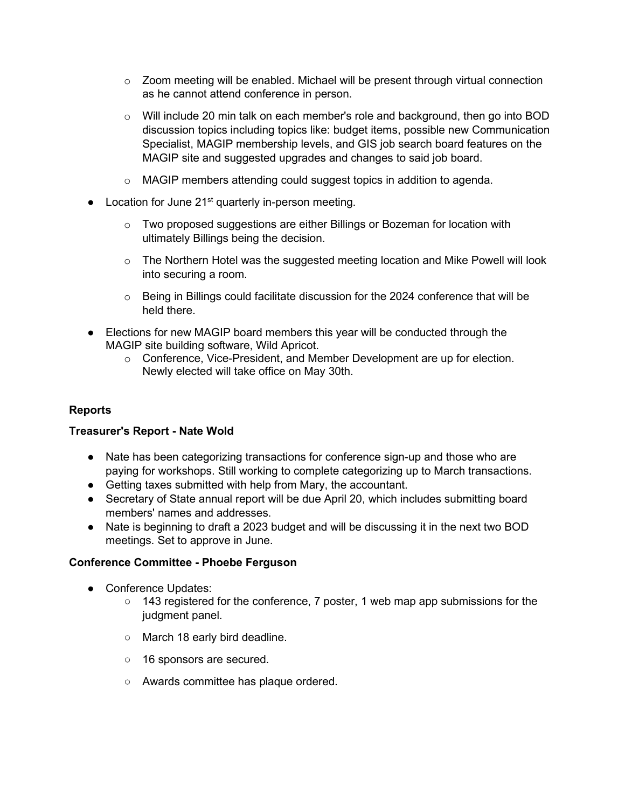- $\circ$  Zoom meeting will be enabled. Michael will be present through virtual connection as he cannot attend conference in person.
- o Will include 20 min talk on each member's role and background, then go into BOD discussion topics including topics like: budget items, possible new Communication Specialist, MAGIP membership levels, and GIS job search board features on the MAGIP site and suggested upgrades and changes to said job board.
- o MAGIP members attending could suggest topics in addition to agenda.
- Location for June 21<sup>st</sup> quarterly in-person meeting.
	- o Two proposed suggestions are either Billings or Bozeman for location with ultimately Billings being the decision.
	- $\circ$  The Northern Hotel was the suggested meeting location and Mike Powell will look into securing a room.
	- $\circ$  Being in Billings could facilitate discussion for the 2024 conference that will be held there.
- Elections for new MAGIP board members this year will be conducted through the MAGIP site building software, Wild Apricot.
	- o Conference, Vice-President, and Member Development are up for election. Newly elected will take office on May 30th.

# **Reports**

#### **Treasurer's Report - Nate Wold**

- Nate has been categorizing transactions for conference sign-up and those who are paying for workshops. Still working to complete categorizing up to March transactions.
- Getting taxes submitted with help from Mary, the accountant.
- Secretary of State annual report will be due April 20, which includes submitting board members' names and addresses.
- Nate is beginning to draft a 2023 budget and will be discussing it in the next two BOD meetings. Set to approve in June.

#### **Conference Committee - Phoebe Ferguson**

- Conference Updates:
	- $\circ$  143 registered for the conference, 7 poster, 1 web map app submissions for the judgment panel.
	- March 18 early bird deadline.
	- 16 sponsors are secured.
	- Awards committee has plaque ordered.